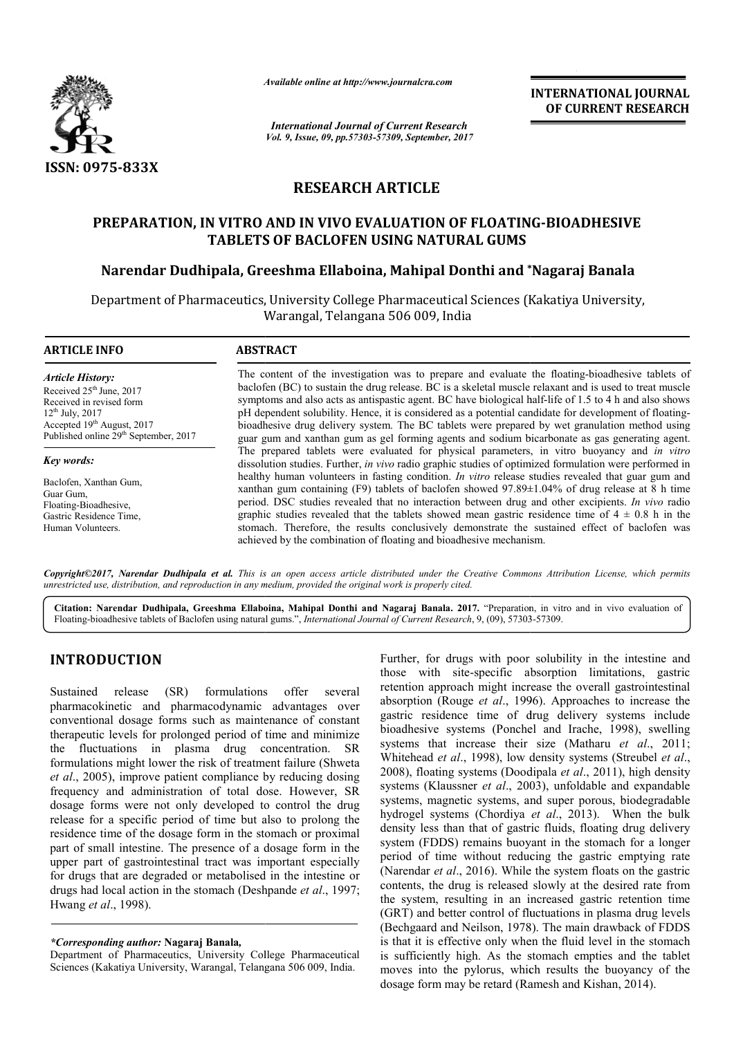

*Available online at http://www.journal http://www.journalcra.com*

*International Journal of Current Research Vol. 9, Issue, 09, pp.57303-57309, September, 2017* **INTERNATIONAL JOURNAL OF CURRENT RESEARCH** 

# **RESEARCH ARTICLE**

# **PREPARATION, IN VITRO AND IN VIVO EVALUATION OF FLOATING FLOATING-BIOADHESIVE TABLETS OF BACLOFEN USING NATURAL GUMS**

# **Narendar Dudhipala, Greeshma Ellaboina, Mahipal Donthi and \* \*Nagaraj Banala**

Department of Pharmaceutics, University College Pharmaceutical Sciences (Kakatiya University, Warangal, Telangana 506 009, India

#### **ARTICLE INFO ABSTRACT**

*Article History:* Received 25<sup>th</sup> June, 2017 Received in revised form 12th July, 2017 Accepted 19<sup>th</sup> August, 2017 Published online 29<sup>th</sup> September, 2017

*Key words:*

Baclofen, Xanthan Gum, Guar Gum, Floating-Bioadhesive, Gastric Residence Time, Human Volunteers.

The content of the investigation was to prepare and evaluate the floating-bioadhesive tablets of baclofen (BC) to sustain the drug release. BC is a skeletal muscle relaxant and is used to treat muscle baclofen (BC) to sustain the drug release. BC is a skeletal muscle relaxant and is used to treat muscle<br>symptoms and also acts as antispastic agent. BC have biological half-life of 1.5 to 4 h and also shows pH dependent solubility. Hence, it is considered as a potential candidate for development of floatingbioadhesive drug delivery system. The BC tablets were prepared by wet granulation method using guar gum an and xanthan gum as gel forming agents and sodium bicarbonate as gas generating agent. bioadhesive drug delivery system. The BC tablets were prepared by wet granulation method using guar gum and xanthan gum as gel forming agents and sodium bicarbonate as gas generating agent. The prepared tablets were evalua dissolution studies. Further, *in vivo* radio graphic studies of optimized formulation were performed in healthy human volunteers in fasting condition. *In vitro* release studies revealed that guar gum and xanthan gum containing (F9) tablets of baclofen showed 97.89±1.04% of drug release at 8 h time period. DSC studies revealed that no interaction between drug and other excipients. graphic studies revealed that the tablets showed mean gastric residence time of  $4 \pm 0.8$  h in the stomach. Therefore, the results conclusively demonstrate the sustained effect of baclofen was achiev achieved by the combination of floating and bioadhesive mechanism. guar fasting condition. *In vitro* release studies revealed that guar gum and (F9) tablets of baclofen showed 97.89±1.04% of drug release at 8 h time caled that no interaction between drug and other excipients. *In vivo* r c studies revealed that the tablets showed mean gastric residence time of  $4 \pm 0.8$  ch. Therefore, the results conclusively demonstrate the sustained effect of backed by the combination of floating and bioadhesive mechani

*Copyright©2017, Narendar Dudhipala et al. This is an open access article distributed under the Creative Commons Att the Attribution License, which permits unrestricted use, distribution, and reproduction in any medium, provided the original work is properly cited.*

Citation: Narendar Dudhipala, Greeshma Ellaboina, Mahipal Donthi and Nagaraj Banala. 2017. "Preparation, in vitro and in vivo evaluation of<br>Floating-bioadhesive tablets of Baclofen using natural gums.", *International Jour* Floating-bioadhesive tablets of Baclofen using natural gums.", *International Journal of Current Research*, 9, (09), 57303

# **INTRODUCTION**

Sustained release (SR) formulations offer several pharmacokinetic and pharmacodynamic advantages over conventional dosage forms such as maintenance of constant therapeutic levels for prolonged period of time and minimize the fluctuations in plasma drug con concentration. SR formulations might lower the risk of treatment failure (Shweta *et al*., 2005), improve patient compliance by reducing dosing frequency and administration of total dose. However, SR dosage forms were not only developed to control the drug release for a specific period of time but also to prolong the residence time of the dosage form in the stomach or proximal part of small intestine. The presence of a dosage form in the upper part of gastrointestinal tract was important especially for drugs that are degraded or metabolised in the intestine or drugs had local action in the stomach (Deshpande *et al*., 1997; Hwang *et al*., 1998). ase for a s<br>dence time<br>of small i<br>er part of<br>drugs that

## *\*Corresponding author:* **Nagaraj Banala***,*

Department of Pharmaceutics, University College Pharmaceutical Sciences (Kakatiya University, Warangal, Telangana 506 009, India.

Further, for drugs with poor solubility in the intestine and those with site-specific absorption limitations, gastric retention approach might increase the overall gastrointestinal absorption (Rouge *et al*., 1996). Approaches to increase the gastric residence time of drug delivery systems include bioadhesive systems (Ponchel and Irache, 1998), swelling systems that increase their size (Matharu et al., 2011; Whitehead *et al.*, 1998), low density systems (Streubel *et al.*, 2008), floating systems (Doodipala et al., 2011), high density systems (Klaussner *et al*., 2003), unfoldable and expandable systems, magnetic systems, and super porous, biodegradable systems, magnetic systems, and super porous, biodegradable hydrogel systems (Chordiya *et al.*, 2013). When the bulk density less than that of gastric fluids, floating drug delivery system (FDDS) remains buoyant in the stomach for a longer period of time without reducing the gastric emptying rate (Narendar *et al*., 2016). While the system floats on the gastric contents, the drug is released slowly at the desired rate from the system, resulting in an increased gastric retention time (GRT) and better control of fluctuations in plasma drug levels (Bechgaard and Neilson, 1978). The main drawback of FDDS is that it is effective only when the fluid level in the stomach is sufficiently high. As the stomach empties and the tablet moves into the pylorus, which results the buoyancy of the dosage form may be retard (Ramesh and Kishan, 2014). those with site-specific absorption limitations, gastric retention approach might increase the overall gastrointestinal absorption (Rouge *et al.*, 1996). Approaches to increase the gastric residence time of drug delivery INTERNATIONAL JOURNAL CONTRIGEN CONTRIGENT (*Software Composition*), Software that the interest of *MATURAL GUMS*<br>
1995, Sopuender, 2017<br>
1997, Sopuender, 2017<br>
1997, Sopuender, 2017<br>
1997 (COLERENT RESERARCH (INTERAL GUMS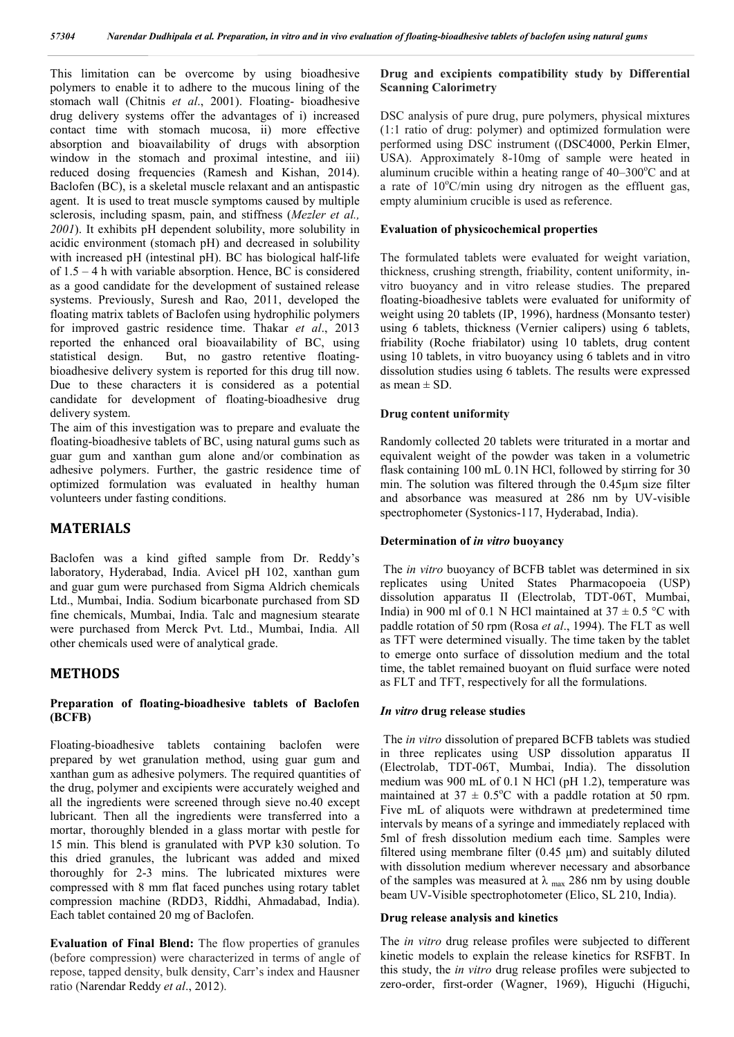This limitation can be overcome by using bioadhesive polymers to enable it to adhere to the mucous lining of the stomach wall (Chitnis *et al*., 2001). Floating- bioadhesive drug delivery systems offer the advantages of i) increased contact time with stomach mucosa, ii) more effective absorption and bioavailability of drugs with absorption window in the stomach and proximal intestine, and iii) reduced dosing frequencies (Ramesh and Kishan, 2014). Baclofen (BC), is a skeletal muscle relaxant and an antispastic agent. It is used to treat muscle symptoms caused by multiple sclerosis, including spasm, pain, and stiffness (*Mezler et al., 2001*). It exhibits pH dependent solubility, more solubility in acidic environment (stomach pH) and decreased in solubility with increased pH (intestinal pH). BC has biological half-life of 1.5 – 4 h with variable absorption. Hence, BC is considered as a good candidate for the development of sustained release systems. Previously, Suresh and Rao, 2011, developed the floating matrix tablets of Baclofen using hydrophilic polymers for improved gastric residence time. Thakar *et al*., 2013 reported the enhanced oral bioavailability of BC, using statistical design. But, no gastro retentive floatingbioadhesive delivery system is reported for this drug till now. Due to these characters it is considered as a potential candidate for development of floating-bioadhesive drug delivery system.

The aim of this investigation was to prepare and evaluate the floating-bioadhesive tablets of BC, using natural gums such as guar gum and xanthan gum alone and/or combination as adhesive polymers. Further, the gastric residence time of optimized formulation was evaluated in healthy human volunteers under fasting conditions.

## **MATERIALS**

Baclofen was a kind gifted sample from Dr. Reddy's laboratory, Hyderabad, India. Avicel pH 102, xanthan gum and guar gum were purchased from Sigma Aldrich chemicals Ltd., Mumbai, India. Sodium bicarbonate purchased from SD fine chemicals, Mumbai, India. Talc and magnesium stearate were purchased from Merck Pvt. Ltd., Mumbai, India. All other chemicals used were of analytical grade.

## **METHODS**

#### **Preparation of floating-bioadhesive tablets of Baclofen (BCFB)**

Floating-bioadhesive tablets containing baclofen were prepared by wet granulation method, using guar gum and xanthan gum as adhesive polymers. The required quantities of the drug, polymer and excipients were accurately weighed and all the ingredients were screened through sieve no.40 except lubricant. Then all the ingredients were transferred into a mortar, thoroughly blended in a glass mortar with pestle for 15 min. This blend is granulated with PVP k30 solution. To this dried granules, the lubricant was added and mixed thoroughly for 2-3 mins. The lubricated mixtures were compressed with 8 mm flat faced punches using rotary tablet compression machine (RDD3, Riddhi, Ahmadabad, India). Each tablet contained 20 mg of Baclofen.

**Evaluation of Final Blend:** The flow properties of granules (before compression) were characterized in terms of angle of repose, tapped density, bulk density, Carr's index and Hausner ratio (Narendar Reddy *et al*., 2012).

## **Drug and excipients compatibility study by Differential Scanning Calorimetry**

DSC analysis of pure drug, pure polymers, physical mixtures (1:1 ratio of drug: polymer) and optimized formulation were performed using DSC instrument ((DSC4000, Perkin Elmer, USA). Approximately 8-10mg of sample were heated in aluminum crucible within a heating range of  $40-300^{\circ}$ C and at a rate of 10°C/min using dry nitrogen as the effluent gas, empty aluminium crucible is used as reference.

#### **Evaluation of physicochemical properties**

The formulated tablets were evaluated for weight variation, thickness, crushing strength, friability, content uniformity, invitro buoyancy and in vitro release studies. The prepared floating-bioadhesive tablets were evaluated for uniformity of weight using 20 tablets (IP, 1996), hardness (Monsanto tester) using 6 tablets, thickness (Vernier calipers) using 6 tablets, friability (Roche friabilator) using 10 tablets, drug content using 10 tablets, in vitro buoyancy using 6 tablets and in vitro dissolution studies using 6 tablets. The results were expressed as mean  $\pm$  SD.

#### **Drug content uniformity**

Randomly collected 20 tablets were triturated in a mortar and equivalent weight of the powder was taken in a volumetric flask containing 100 mL 0.1N HCl, followed by stirring for 30 min. The solution was filtered through the 0.45µm size filter and absorbance was measured at 286 nm by UV-visible spectrophometer (Systonics-117, Hyderabad, India).

#### **Determination of** *in vitro* **buoyancy**

The *in vitro* buoyancy of BCFB tablet was determined in six replicates using United States Pharmacopoeia (USP) dissolution apparatus ІІ (Electrolab, TDT-06T, Mumbai, India) in 900 ml of 0.1 N HCl maintained at  $37 \pm 0.5$  °C with paddle rotation of 50 rpm (Rosa *et al*., 1994). The FLT as well as TFT were determined visually. The time taken by the tablet to emerge onto surface of dissolution medium and the total time, the tablet remained buoyant on fluid surface were noted as FLT and TFT, respectively for all the formulations.

#### *In vitro* **drug release studies**

The *in vitro* dissolution of prepared BCFB tablets was studied in three replicates using USP dissolution apparatus II (Electrolab, TDT-06T, Mumbai, India). The dissolution medium was 900 mL of 0.1 N HCl (pH 1.2), temperature was maintained at  $37 \pm 0.5^{\circ}$ C with a paddle rotation at 50 rpm. Five mL of aliquots were withdrawn at predetermined time intervals by means of a syringe and immediately replaced with 5ml of fresh dissolution medium each time. Samples were filtered using membrane filter  $(0.45 \mu m)$  and suitably diluted with dissolution medium wherever necessary and absorbance of the samples was measured at  $\lambda$  <sub>max</sub> 286 nm by using double beam UV-Visible spectrophotometer (Elico, SL 210, India).

#### **Drug release analysis and kinetics**

The *in vitro* drug release profiles were subjected to different kinetic models to explain the release kinetics for RSFBT. In this study, the *in vitro* drug release profiles were subjected to zero-order, first-order (Wagner, 1969), Higuchi (Higuchi,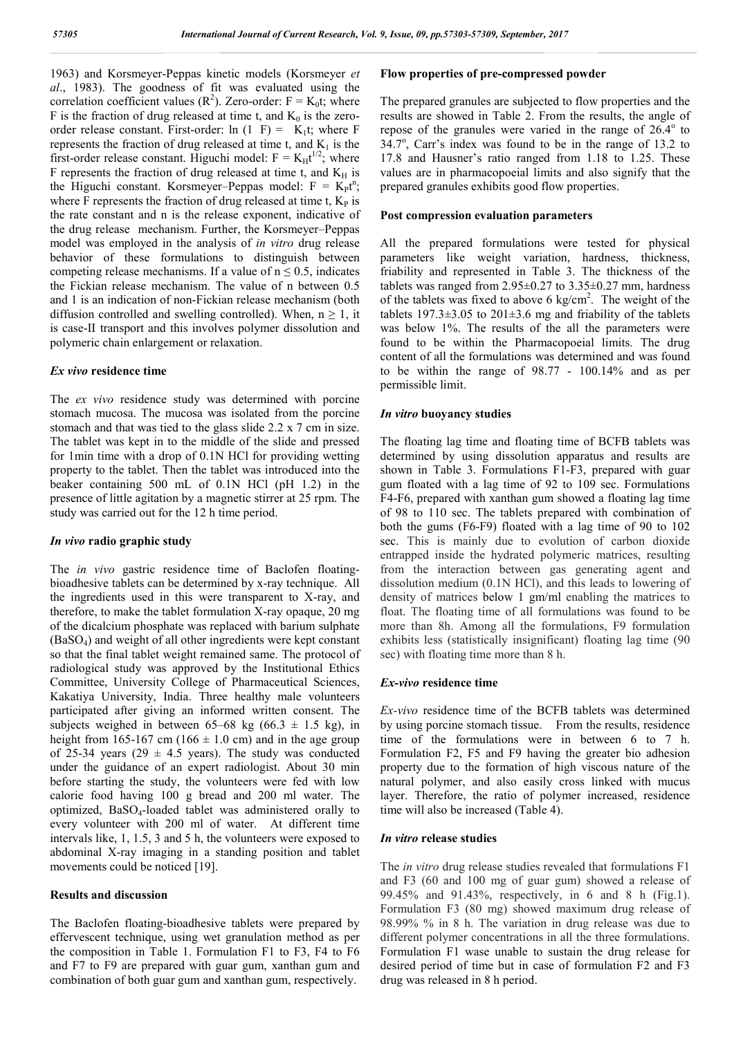1963) and Korsmeyer-Peppas kinetic models (Korsmeyer *et al*., 1983). The goodness of fit was evaluated using the correlation coefficient values  $(R^2)$ . Zero-order:  $F = K_0 t$ ; where F is the fraction of drug released at time t, and  $K_0$  is the zeroorder release constant. First-order:  $ln(1) = K_1t$ ; where F represents the fraction of drug released at time t, and  $K_1$  is the first-order release constant. Higuchi model:  $F = K_H t^{1/2}$ ; where F represents the fraction of drug released at time t, and  $K_H$  is the Higuchi constant. Korsmeyer-Peppas model:  $F = K_p t^n$ ; where  $\overline{F}$  represents the fraction of drug released at time t,  $K_{P}$  is the rate constant and n is the release exponent, indicative of the drug release mechanism. Further, the Korsmeyer–Peppas model was employed in the analysis of *in vitro* drug release behavior of these formulations to distinguish between competing release mechanisms. If a value of  $n \leq 0.5$ , indicates the Fickian release mechanism. The value of n between 0.5 and 1 is an indication of non-Fickian release mechanism (both diffusion controlled and swelling controlled). When,  $n \ge 1$ , it is case-II transport and this involves polymer dissolution and polymeric chain enlargement or relaxation.

## *Ex vivo* **residence time**

The *ex vivo* residence study was determined with porcine stomach mucosa. The mucosa was isolated from the porcine stomach and that was tied to the glass slide 2.2 x 7 cm in size. The tablet was kept in to the middle of the slide and pressed for 1min time with a drop of 0.1N HCl for providing wetting property to the tablet. Then the tablet was introduced into the beaker containing 500 mL of 0.1N HCl (pH 1.2) in the presence of little agitation by a magnetic stirrer at 25 rpm. The study was carried out for the 12 h time period.

#### *In vivo* **radio graphic study**

The *in vivo* gastric residence time of Baclofen floatingbioadhesive tablets can be determined by x-ray technique. All the ingredients used in this were transparent to X-ray, and therefore, to make the tablet formulation X-ray opaque, 20 mg of the dicalcium phosphate was replaced with barium sulphate (BaSO4) and weight of all other ingredients were kept constant so that the final tablet weight remained same. The protocol of radiological study was approved by the Institutional Ethics Committee, University College of Pharmaceutical Sciences, Kakatiya University, India. Three healthy male volunteers participated after giving an informed written consent. The subjects weighed in between 65–68 kg (66.3  $\pm$  1.5 kg), in height from 165-167 cm (166  $\pm$  1.0 cm) and in the age group of 25-34 years (29  $\pm$  4.5 years). The study was conducted under the guidance of an expert radiologist. About 30 min before starting the study, the volunteers were fed with low calorie food having 100 g bread and 200 ml water. The optimized, BaSO4-loaded tablet was administered orally to every volunteer with 200 ml of water. At different time intervals like, 1, 1.5, 3 and 5 h, the volunteers were exposed to abdominal X-ray imaging in a standing position and tablet movements could be noticed [19].

## **Results and discussion**

The Baclofen floating-bioadhesive tablets were prepared by effervescent technique, using wet granulation method as per the composition in Table 1. Formulation F1 to F3, F4 to F6 and F7 to F9 are prepared with guar gum, xanthan gum and combination of both guar gum and xanthan gum, respectively.

## **Flow properties of pre-compressed powder**

The prepared granules are subjected to flow properties and the results are showed in Table 2. From the results, the angle of repose of the granules were varied in the range of  $26.4^\circ$  to  $34.7^\circ$ , Carr's index was found to be in the range of 13.2 to 17.8 and Hausner's ratio ranged from 1.18 to 1.25. These values are in pharmacopoeial limits and also signify that the prepared granules exhibits good flow properties.

#### **Post compression evaluation parameters**

All the prepared formulations were tested for physical parameters like weight variation, hardness, thickness, friability and represented in Table 3. The thickness of the tablets was ranged from  $2.95\pm0.27$  to  $3.35\pm0.27$  mm, hardness of the tablets was fixed to above 6 kg/cm<sup>2</sup>. The weight of the tablets  $197.3 \pm 3.05$  to  $201 \pm 3.6$  mg and friability of the tablets was below 1%. The results of the all the parameters were found to be within the Pharmacopoeial limits. The drug content of all the formulations was determined and was found to be within the range of 98.77 - 100.14% and as per permissible limit.

#### *In vitro* **buoyancy studies**

The floating lag time and floating time of BCFB tablets was determined by using dissolution apparatus and results are shown in Table 3. Formulations F1-F3, prepared with guar gum floated with a lag time of 92 to 109 sec. Formulations F4-F6, prepared with xanthan gum showed a floating lag time of 98 to 110 sec. The tablets prepared with combination of both the gums (F6-F9) floated with a lag time of 90 to 102 sec. This is mainly due to evolution of carbon dioxide entrapped inside the hydrated polymeric matrices, resulting from the interaction between gas generating agent and dissolution medium (0.1N HCl), and this leads to lowering of density of matrices below 1 gm/ml enabling the matrices to float. The floating time of all formulations was found to be more than 8h. Among all the formulations, F9 formulation exhibits less (statistically insignificant) floating lag time (90 sec) with floating time more than 8 h.

#### *Ex-vivo* **residence time**

*Ex-vivo* residence time of the BCFB tablets was determined by using porcine stomach tissue. From the results, residence time of the formulations were in between 6 to 7 h. Formulation F2, F5 and F9 having the greater bio adhesion property due to the formation of high viscous nature of the natural polymer, and also easily cross linked with mucus layer. Therefore, the ratio of polymer increased, residence time will also be increased (Table 4).

#### *In vitro* **release studies**

The *in vitro* drug release studies revealed that formulations F1 and F3 (60 and 100 mg of guar gum) showed a release of 99.45% and 91.43%, respectively, in 6 and 8 h (Fig.1). Formulation F3 (80 mg) showed maximum drug release of 98.99% % in 8 h. The variation in drug release was due to different polymer concentrations in all the three formulations. Formulation F1 wase unable to sustain the drug release for desired period of time but in case of formulation F2 and F3 drug was released in 8 h period.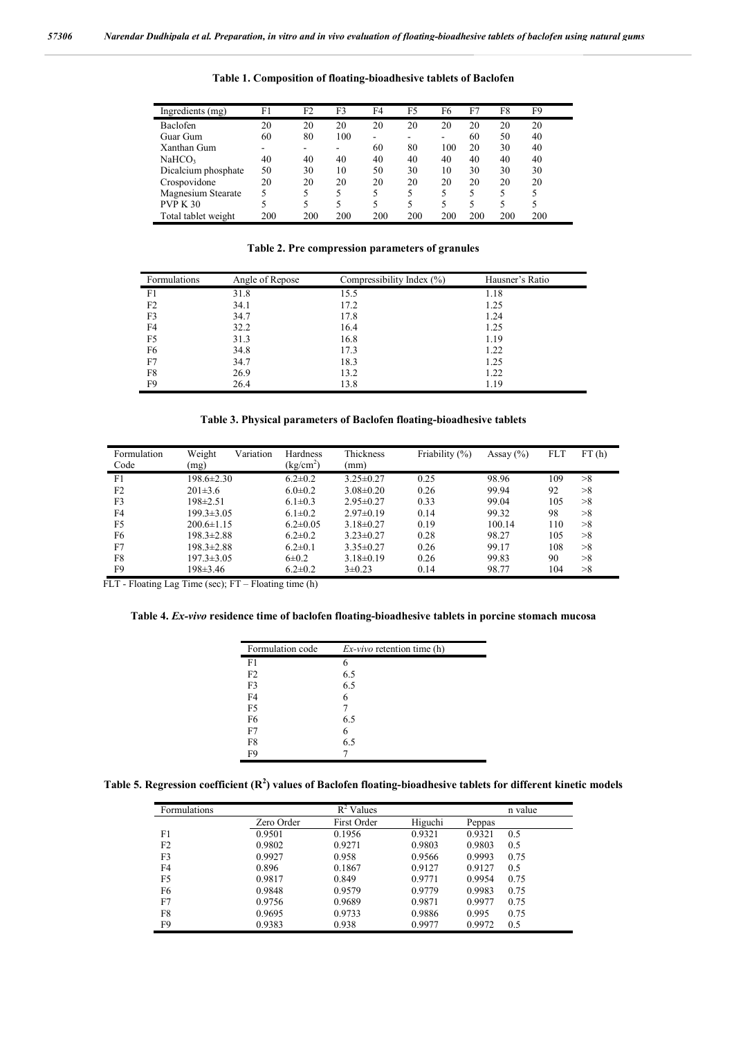| Ingredients (mg)    | F1  | F2  | F3  | F4  | F5  | F6  | F7  | F8  | F9  |  |
|---------------------|-----|-----|-----|-----|-----|-----|-----|-----|-----|--|
| Baclofen            | 20  | 20  | 20  | 20  | 20  | 20  | 20  | 20  | 20  |  |
| Guar Gum            | 60  | 80  | 100 | ۰.  |     | -   | 60  | 50  | 40  |  |
| Xanthan Gum         | -   |     |     | 60  | 80  | 100 | 20  | 30  | 40  |  |
| NaHCO <sub>3</sub>  | 40  | 40  | 40  | 40  | 40  | 40  | 40  | 40  | 40  |  |
| Dicalcium phosphate | 50  | 30  | 10  | 50  | 30  | 10  | 30  | 30  | 30  |  |
| Crospovidone        | 20  | 20  | 20  | 20  | 20  | 20  | 20  | 20  | 20  |  |
| Magnesium Stearate  | 5   |     | 5   | 5   | 5   | 5   |     |     | 5   |  |
| <b>PVP K 30</b>     |     |     |     | 5   | 5   | 5   |     |     | 5   |  |
| Total tablet weight | 200 | 200 | 200 | 200 | 200 | 200 | 200 | 200 | 200 |  |

**Table 1. Composition of floating-bioadhesive tablets of Baclofen**

**Table 2. Pre compression parameters of granules**

| Formulations | Angle of Repose | Compressibility Index (%) | Hausner's Ratio |
|--------------|-----------------|---------------------------|-----------------|
| F1           | 31.8            | 15.5                      | 1.18            |
| F2           | 34.1            | 17.2                      | 1.25            |
| F3           | 34.7            | 17.8                      | 1.24            |
| F4           | 32.2            | 16.4                      | 1.25            |
| F5           | 31.3            | 16.8                      | 1.19            |
| F6           | 34.8            | 17.3                      | 1.22            |
| F7           | 34.7            | 18.3                      | 1.25            |
| F8           | 26.9            | 13.2                      | 1.22            |
| F9           | 26.4            | 13.8                      | 1.19            |

## **Table 3. Physical parameters of Baclofen floating-bioadhesive tablets**

| Formulation<br>Code | Weight<br>Variation<br>(mg) | Hardness<br>$\frac{\text{kg/cm}^2}{\text{m}}$ | Thickness<br>(mm) | Friability (%) | Assay $(\% )$ | <b>FLT</b> | FT(h) |
|---------------------|-----------------------------|-----------------------------------------------|-------------------|----------------|---------------|------------|-------|
| F1                  | $198.6 \pm 2.30$            | $6.2 \pm 0.2$                                 | $3.25 \pm 0.27$   | 0.25           | 98.96         | 109        | >8    |
| F <sub>2</sub>      | $201\pm3.6$                 | $6.0 \pm 0.2$                                 | $3.08 \pm 0.20$   | 0.26           | 99.94         | 92         | >8    |
| F <sub>3</sub>      | $198 \pm 2.51$              | $6.1 \pm 0.3$                                 | $2.95 \pm 0.27$   | 0.33           | 99.04         | 105        | >8    |
| F <sub>4</sub>      | $199.3 \pm 3.05$            | $6.1 \pm 0.2$                                 | $2.97\pm 0.19$    | 0.14           | 99.32         | 98         | >8    |
| F <sub>5</sub>      | $200.6 \pm 1.15$            | $6.2 \pm 0.05$                                | $3.18 \pm 0.27$   | 0.19           | 100.14        | 110        | >8    |
| F <sub>6</sub>      | $198.3 \pm 2.88$            | $6.2 \pm 0.2$                                 | $3.23 \pm 0.27$   | 0.28           | 98.27         | 105        | >8    |
| F7                  | $198.3 \pm 2.88$            | $6.2 \pm 0.1$                                 | $3.35\pm0.27$     | 0.26           | 99.17         | 108        | >8    |
| F8                  | $197.3 \pm 3.05$            | $6\pm0.2$                                     | $3.18\pm0.19$     | 0.26           | 99.83         | 90         | >8    |
| F9                  | 198±3.46                    | $6.2 \pm 0.2$                                 | $3\pm0.23$        | 0.14           | 98.77         | 104        | >8    |

FLT - Floating Lag Time (sec); FT – Floating time (h)

**Table 4.** *Ex-vivo* **residence time of baclofen floating-bioadhesive tablets in porcine stomach mucosa**

| Formulation code | $Ex-vivo$ retention time (h) |
|------------------|------------------------------|
| F1               | 6                            |
| F <sub>2</sub>   | 6.5                          |
| F <sub>3</sub>   | 6.5                          |
| F <sub>4</sub>   | 6                            |
| F <sub>5</sub>   |                              |
| F <sub>6</sub>   | 6.5                          |
| F7               | 6                            |
| F8               | 6.5                          |
| F9               |                              |

|  | Table 5. Regression coefficient $(R^2)$ values of Baclofen floating-bioadhesive tablets for different kinetic models |  |
|--|----------------------------------------------------------------------------------------------------------------------|--|
|  |                                                                                                                      |  |

| Formulations |            | $R^2$ Values |         |        | n value |
|--------------|------------|--------------|---------|--------|---------|
|              | Zero Order | First Order  | Higuchi | Peppas |         |
| F1           | 0.9501     | 0.1956       | 0.9321  | 0.9321 | 0.5     |
| F2           | 0.9802     | 0.9271       | 0.9803  | 0.9803 | 0.5     |
| F3           | 0.9927     | 0.958        | 0.9566  | 0.9993 | 0.75    |
| F4           | 0.896      | 0.1867       | 0.9127  | 0.9127 | 0.5     |
| F5           | 0.9817     | 0.849        | 0.9771  | 0.9954 | 0.75    |
| F6           | 0.9848     | 0.9579       | 0.9779  | 0.9983 | 0.75    |
| F7           | 0.9756     | 0.9689       | 0.9871  | 0.9977 | 0.75    |
| F8           | 0.9695     | 0.9733       | 0.9886  | 0.995  | 0.75    |
| F9           | 0.9383     | 0.938        | 0.9977  | 0.9972 | 0.5     |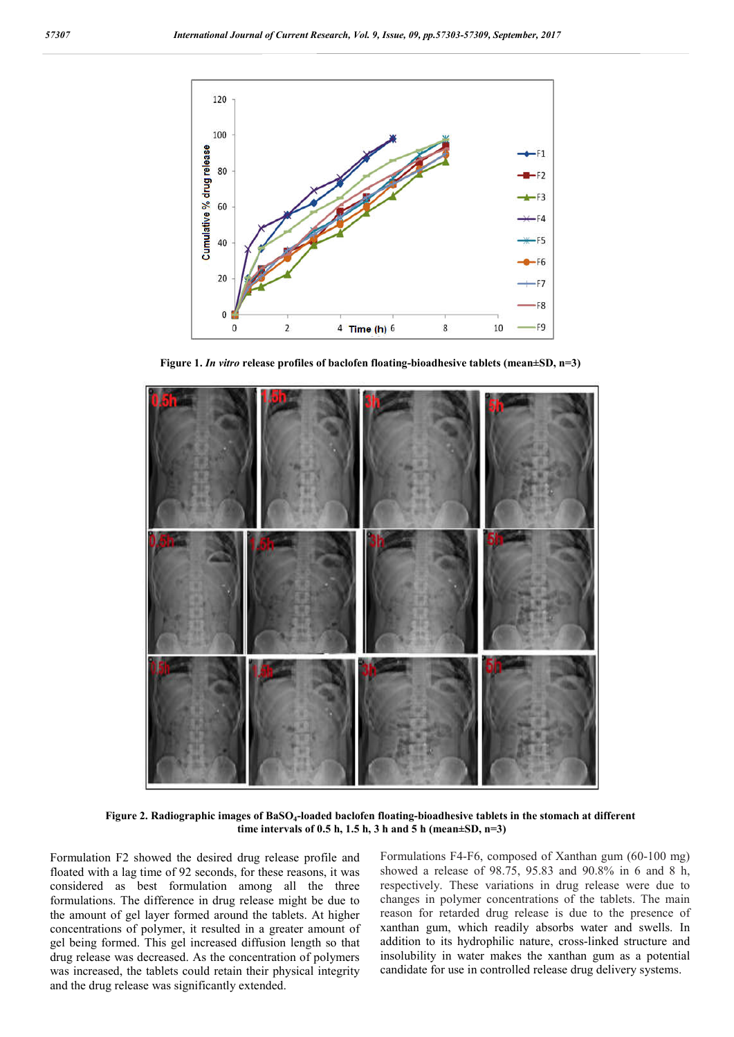

**Figure 1.** *In vitro* **release profiles of baclofen floating-bioadhesive tablets (mean±SD, n=3)**



**Figure 2. Radiographic images of BaSO4-loaded baclofen floating-bioadhesive tablets in the stomach at different time intervals of 0.5 h, 1.5 h, 3 h and 5 h (mean±SD, n=3)**

Formulation F2 showed the desired drug release profile and floated with a lag time of 92 seconds, for these reasons, it was considered as best formulation among all the three formulations. The difference in drug release might be due to the amount of gel layer formed around the tablets. At higher concentrations of polymer, it resulted in a greater amount of gel being formed. This gel increased diffusion length so that drug release was decreased. As the concentration of polymers was increased, the tablets could retain their physical integrity and the drug release was significantly extended.

Formulations F4-F6, composed of Xanthan gum (60-100 mg) showed a release of 98.75, 95.83 and 90.8% in 6 and 8 h, respectively. These variations in drug release were due to changes in polymer concentrations of the tablets. The main reason for retarded drug release is due to the presence of xanthan gum, which readily absorbs water and swells. In addition to its hydrophilic nature, cross-linked structure and insolubility in water makes the xanthan gum as a potential candidate for use in controlled release drug delivery systems.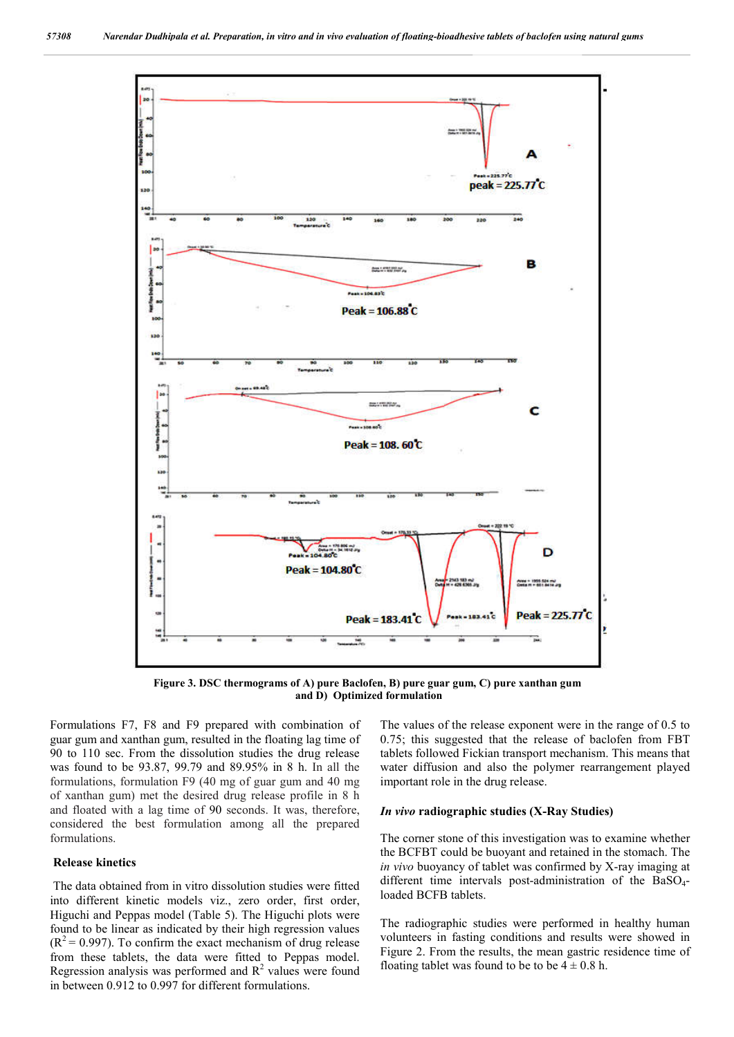

**Figure 3. DSC thermograms of A) pure Baclofen, B) pure guar gum, C) pure xanthan gum and D) Optimized formulation**

Formulations F7, F8 and F9 prepared with combination of guar gum and xanthan gum, resulted in the floating lag time of 90 to 110 sec. From the dissolution studies the drug release was found to be 93.87, 99.79 and 89.95% in 8 h. In all the formulations, formulation F9 (40 mg of guar gum and 40 mg of xanthan gum) met the desired drug release profile in 8 h and floated with a lag time of 90 seconds. It was, therefore, considered the best formulation among all the prepared formulations.

#### **Release kinetics**

The data obtained from in vitro dissolution studies were fitted into different kinetic models viz., zero order, first order, Higuchi and Peppas model (Table 5). The Higuchi plots were found to be linear as indicated by their high regression values  $(R<sup>2</sup> = 0.997)$ . To confirm the exact mechanism of drug release from these tablets, the data were fitted to Peppas model. Regression analysis was performed and  $R<sup>2</sup>$  values were found in between 0.912 to 0.997 for different formulations.

The values of the release exponent were in the range of 0.5 to 0.75; this suggested that the release of baclofen from FBT tablets followed Fickian transport mechanism. This means that water diffusion and also the polymer rearrangement played important role in the drug release.

#### *In vivo* **radiographic studies (X-Ray Studies)**

The corner stone of this investigation was to examine whether the BCFBT could be buoyant and retained in the stomach. The *in vivo* buoyancy of tablet was confirmed by X-ray imaging at different time intervals post-administration of the BaSO<sub>4</sub>loaded BCFB tablets.

The radiographic studies were performed in healthy human volunteers in fasting conditions and results were showed in Figure 2. From the results, the mean gastric residence time of floating tablet was found to be to be  $4 \pm 0.8$  h.